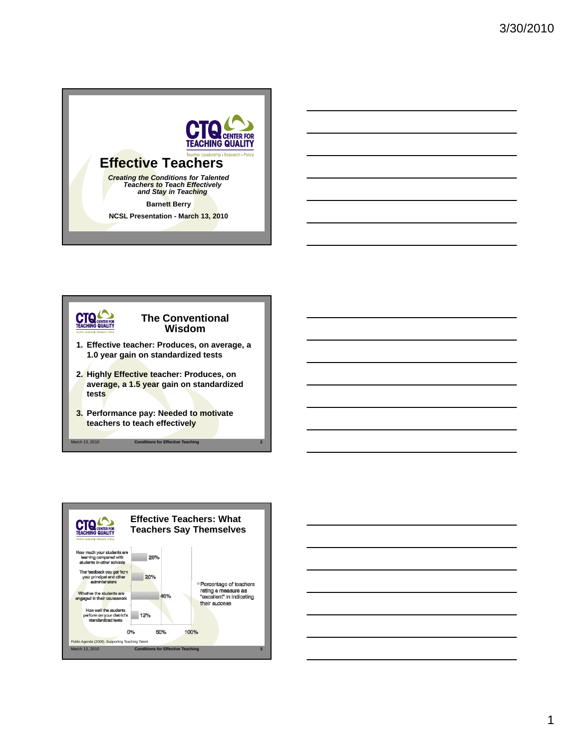

**Barnett Berry** 

**NCSL Presentation - March 13, 2010**





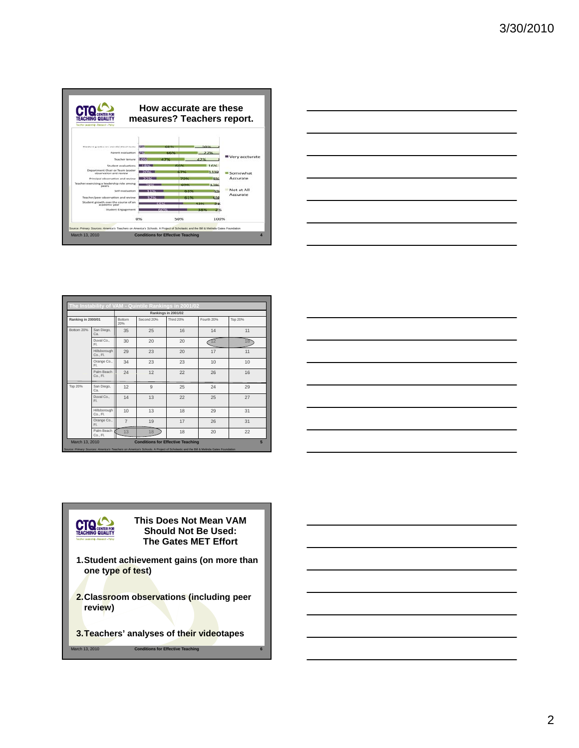



|                    |                          |                                          |                 | Rankings in 2001/02 |            |                |
|--------------------|--------------------------|------------------------------------------|-----------------|---------------------|------------|----------------|
| Ranking in 2000/01 |                          | <b>Bottom</b><br>20%                     | Second 20%      | <b>Third 20%</b>    | Fourth 20% | <b>Top 20%</b> |
| Bottom 20%         | San Diego,<br>Ca.        | 35                                       | 25              | 16                  | 14         | 11             |
|                    | Duval Co.,<br>FI.        | 30                                       | 20              | 20                  | 12         | 18             |
|                    | Hillsborough<br>Co., Fl. | 29                                       | 23              | 20                  | 17         | 11             |
|                    | Orange Co.,<br>FL.       | 34                                       | 23              | 23                  | 10         | 10             |
|                    | Palm Beach<br>Co., Fl.   | 24                                       | 12              | 22                  | 26         | 16             |
| Top 20%            | San Diego,<br>Ca.        | 12                                       | $\overline{9}$  | 25                  | 24         | 29             |
|                    | Duval Co.,<br>EL.        | 14                                       | 13              | 22                  | 25         | 27             |
|                    | Hillsborough<br>Co., Fl. | 10                                       | 13              | 18                  | 29         | 31             |
|                    | Orange Co.,<br>FI.       | $\overline{7}$                           | 19              | 17                  | 26         | 31             |
|                    | Palm Beach<br>Co., Fl.   | 13                                       | 18              | 18                  | 20         | 22             |
| March 13, 2010     |                          | <b>Conditions for Effective Teaching</b> | $5\overline{5}$ |                     |            |                |



**This Does Not Mean VAM CTO CENTER FOR Should Not Be Used: The Gates MET Effort**

- **1.Student achievement gains (on more than one type of test)**
- **2.Classroom observations (including peer review)**
- **3.Teachers' analyses of their videotapes**

March 13, 2010 **Conditions for Effective Teaching 6**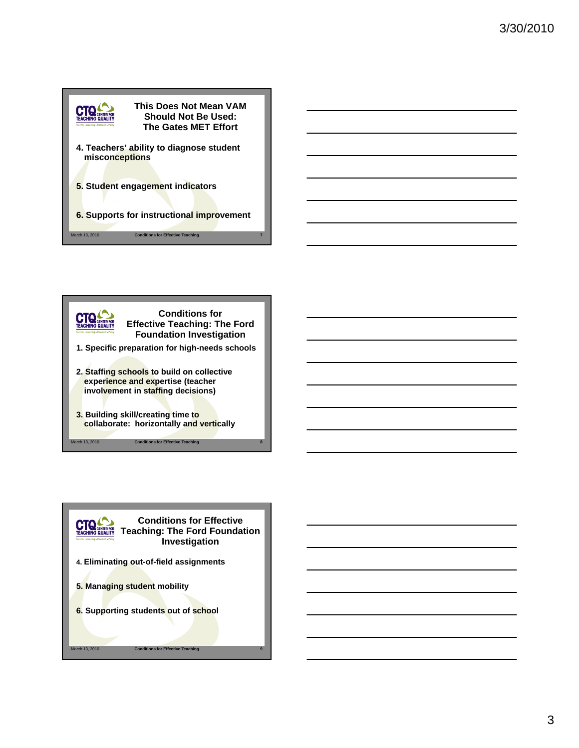



- **1. Specific preparation for high-needs schools**
- **2. Staffing schools to build on collective 2. Staffing schools to build on experience and expertise (teacher involvement in staffing decisions)**
- **3. Building skill/creating time to collaborate: horizontally and vertically**

arch 13, 2010 **Conditions for Effective Teaching** 

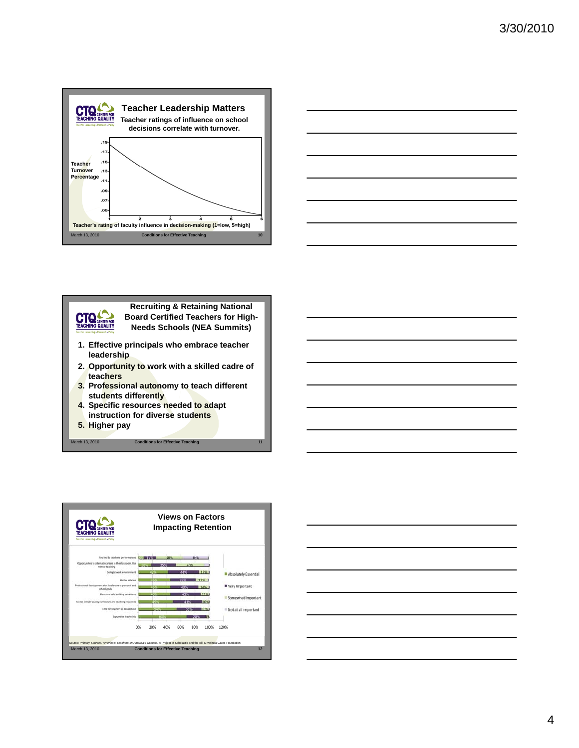





**Recruiting & Retaining National Board Certified Teachers for High-Needs Schools (NEA Summits)**

- **1. Effective principals who embrace teacher leadership**
- **2. Opportunity to work with a skilled cadre of t h teachers**
- **3. Professional autonomy to teach different students differently**
- **4. Specific resources needed to adapt instruction for diverse students**

March 13, 2010 **Conditions for Effective Teaching** 

**5. Higher pay**



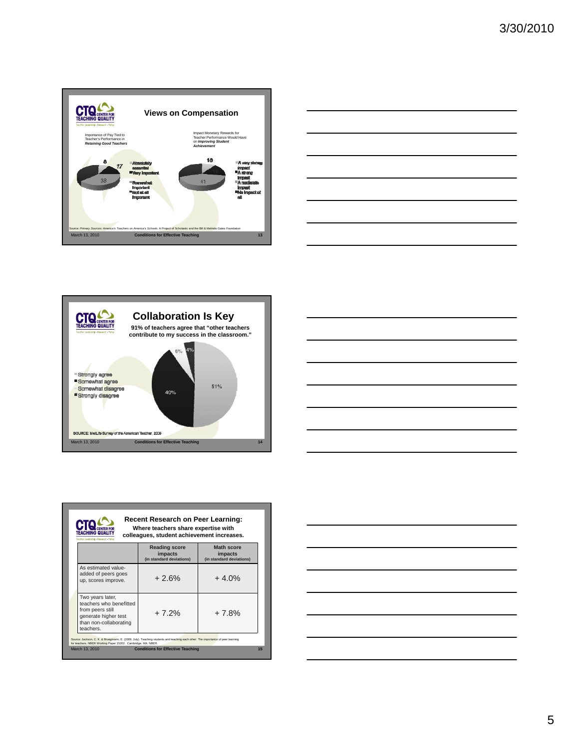







| Where teachers share expertise with<br>Téaching Qualit<br>colleagues, student achievement increases.<br>Teacher Leadership - Research - Policy |                                                                                                                                |                                                             |                                                          |  |  |  |
|------------------------------------------------------------------------------------------------------------------------------------------------|--------------------------------------------------------------------------------------------------------------------------------|-------------------------------------------------------------|----------------------------------------------------------|--|--|--|
|                                                                                                                                                |                                                                                                                                | <b>Reading score</b><br>impacts<br>(in standard deviations) | <b>Math score</b><br>impacts<br>(in standard deviations) |  |  |  |
|                                                                                                                                                | As estimated value-<br>added of peers goes<br>up, scores improve.                                                              | $+2.6%$                                                     | $+4.0%$                                                  |  |  |  |
|                                                                                                                                                | Two years later,<br>teachers who benefitted<br>from peers still<br>generate higher test<br>than non-collaborating<br>teachers. | $+7.2%$                                                     | $+7.8%$                                                  |  |  |  |